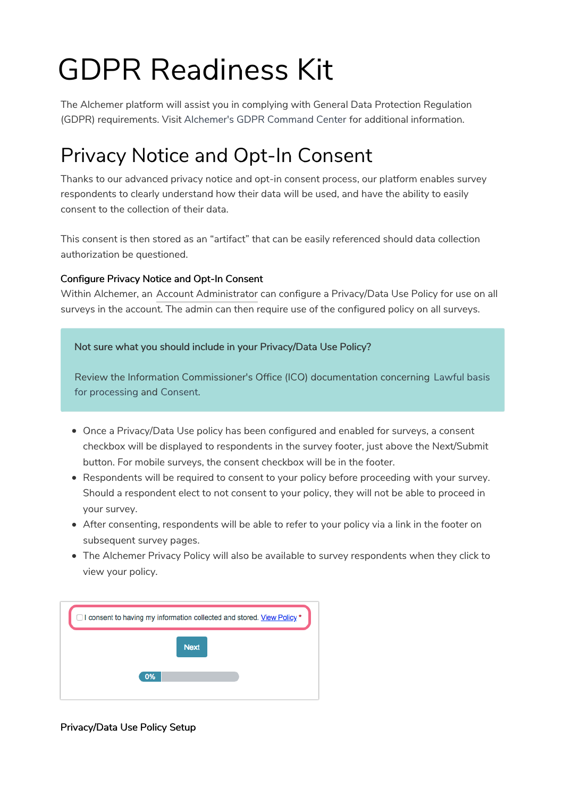# GDPR Readiness Kit

The Alchemer platform will assist you in complying with General Data Protection Regulation (GDPR) requirements. Visit Alchemer's GDPR Command Center for additional information.

# Privacy Notice and Opt-In Consent

Thanks to our advanced privacy notice and opt-in consent process, our platform enables survey respondents to clearly understand how their data will be used, and have the ability to easily consent to the collection of their data.

This consent is then stored as an "artifact" that can be easily referenced should data collection authorization be questioned.

### Configure Privacy Notice and Opt-In Consent

Within Alchemer, an Account Administrator can configure a Privacy/Data Use Policy for use on all surveys in the account. The admin can then require use of the configured policy on all surveys.

Not sure what you should include in your Privacy/Data Use Policy?

Review the Information Commissioner's Office (ICO) documentation concerning Lawful basis for processing and Consent.

- Once a Privacy/Data Use policy has been configured and enabled for surveys, a consent checkbox will be displayed to respondents in the survey footer, just above the Next/Submit button. For mobile surveys, the consent checkbox will be in the footer.
- Respondents will be required to consent to your policy before proceeding with your survey. Should a respondent elect to not consent to your policy, they will not be able to proceed in your survey.
- After consenting, respondents will be able to refer to your policy via a link in the footer on subsequent survey pages.
- The Alchemer Privacy Policy will also be available to survey respondents when they click to view your policy.



### Privacy/Data Use Policy Setup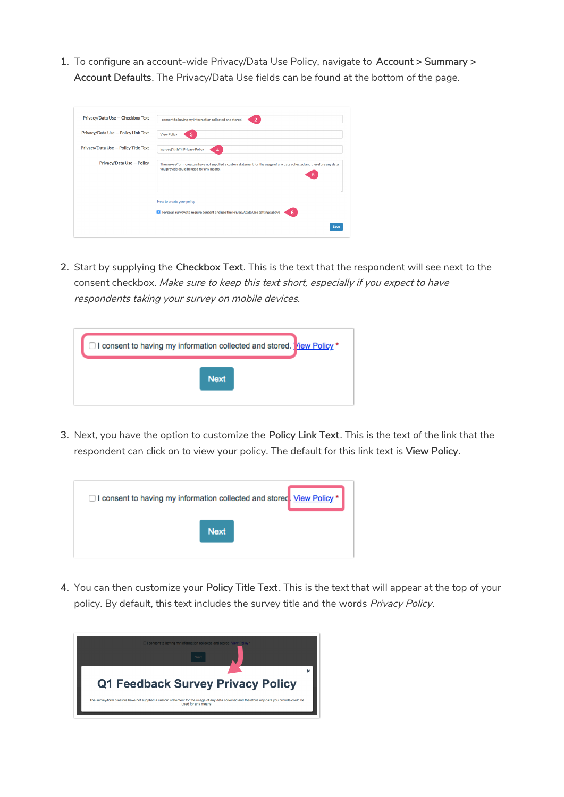1. To configure an account-wide Privacy/Data Use Policy, navigate to Account > Summary > Account Defaults. The Privacy/Data Use fields can be found at the bottom of the page.

| Privacy/Data Use - Checkbox Text     | I consent to having my information collected and stored.<br>$\overline{2}$                                                                                                |
|--------------------------------------|---------------------------------------------------------------------------------------------------------------------------------------------------------------------------|
| Privacy/Data Use - Policy Link Text  | 3<br><b>View Policy</b>                                                                                                                                                   |
| Privacy/Data Use - Policy Title Text | [survey("title")] Privacy Policy<br>4                                                                                                                                     |
| Privacy/Data Use - Policy            | The survey/form creators have not supplied a custom statement for the usage of any data collected and therefore any data<br>you provide could be used for any means.<br>5 |
|                                      | How to create your policy                                                                                                                                                 |
|                                      | C Force all surveys to require consent and use the Privacy/Data Use settings above<br>6                                                                                   |
|                                      | Save                                                                                                                                                                      |

2. Start by supplying the Checkbox Text. This is the text that the respondent will see next to the consent checkbox. Make sure to keep this text short, especially if you expect to have respondents taking your survey on mobile devices.

| □ I consent to having my information collected and stored. Yiew Policy * |
|--------------------------------------------------------------------------|
| <b>Next</b>                                                              |

3. Next, you have the option to customize the Policy Link Text. This is the text of the link that the respondent can click on to view your policy. The default for this link text is View Policy.



4. You can then customize your Policy Title Text. This is the text that will appear at the top of your policy. By default, this text includes the survey title and the words Privacy Policy.

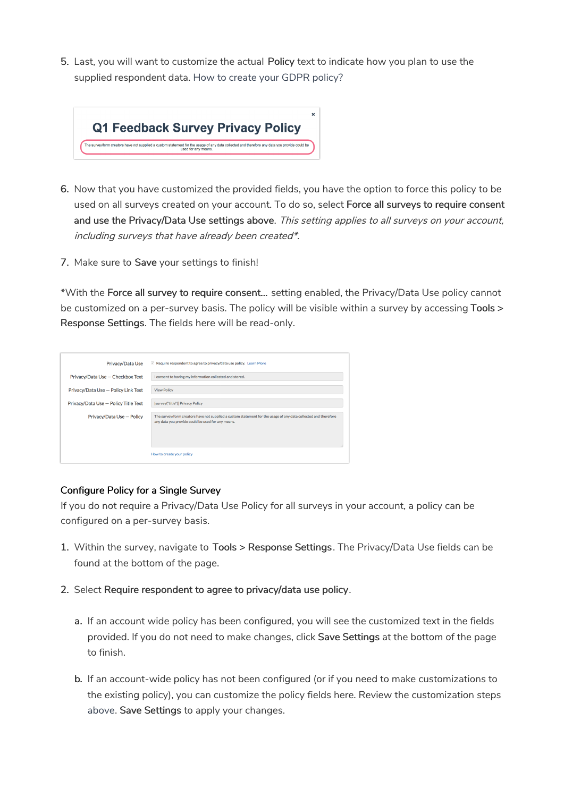5. Last, you will want to customize the actual Policy text to indicate how you plan to use the supplied respondent data. How to create your GDPR policy?



- 6. Now that you have customized the provided fields, you have the option to force this policy to be used on all surveys created on your account. To do so, select Force all surveys to require consent and use the Privacy/Data Use settings above. This setting applies to all surveys on your account, including surveys that have already been created\*.
- 7. Make sure to Save your settings to finish!

\*With the Force all survey to require consent... setting enabled, the Privacy/Data Use policy cannot be customized on a per-survey basis. The policy will be visible within a survey by accessing Tools > Response Settings. The fields here will be read-only.

| Privacy/Data Use                     | $\vee$ Require respondent to agree to privacy/data use policy. Learn More                                                                                            |
|--------------------------------------|----------------------------------------------------------------------------------------------------------------------------------------------------------------------|
| Privacy/Data Use - Checkbox Text     | I consent to having my information collected and stored.                                                                                                             |
| Privacy/Data Use - Policy Link Text  | <b>View Policy</b>                                                                                                                                                   |
| Privacy/Data Use - Policy Title Text | <b>Isurvey</b> ("title")] Privacy Policy                                                                                                                             |
| Privacy/Data Use - Policy            | The survey/form creators have not supplied a custom statement for the usage of any data collected and therefore<br>any data you provide could be used for any means. |
|                                      | How to create your policy                                                                                                                                            |

#### Configure Policy for a Single Survey

If you do not require a Privacy/Data Use Policy for all surveys in your account, a policy can be configured on a per-survey basis.

- 1. Within the survey, navigate to Tools > Response Settings. The Privacy/Data Use fields can be found at the bottom of the page.
- 2. Select Require respondent to agree to privacy/data use policy.
	- a. If an account wide policy has been configured, you will see the customized text in the fields provided. If you do not need to make changes, click Save Settings at the bottom of the page to finish.
	- b. If an account-wide policy has not been configured (or if you need to make customizations to the existing policy), you can customize the policy fields here. Review the customization steps above. Save Settings to apply your changes.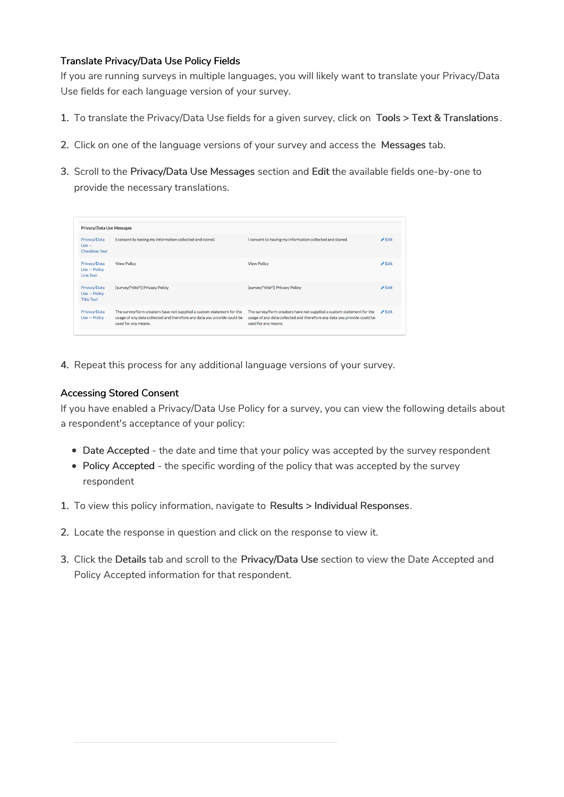### Translate Privacy/Data Use Policy Fields

If you are running surveys in multiple languages, you will likely want to translate your Privacy/Data Use fields for each language version of your survey.

- 1. To translate the Privacy/Data Use fields for a given survey, click on Tools > Text & Translations .
- 2. Click on one of the language versions of your survey and access the Messages tab.
- 3. Scroll to the Privacy/Data Use Messages section and Edit the available fields one-by-one to provide the necessary translations.

| <b>Privacy/Data Use Messages</b>                                                                                                                                        |                                                                                                                                                                         |                            |  |  |  |
|-------------------------------------------------------------------------------------------------------------------------------------------------------------------------|-------------------------------------------------------------------------------------------------------------------------------------------------------------------------|----------------------------|--|--|--|
| I consent to having my information collected and stored.                                                                                                                | I consent to having my information collected and stored.                                                                                                                | $\blacktriangleright$ Edit |  |  |  |
| <b>View Policy</b>                                                                                                                                                      | <b>View Policy</b>                                                                                                                                                      | $\triangle$ Edit           |  |  |  |
| [survey("title")] Privacy Policy                                                                                                                                        | [survey("title")] Privacy Policy                                                                                                                                        | $\triangle$ Edit           |  |  |  |
| The survey/form creators have not supplied a custom statement for the<br>usage of any data collected and therefore any data you provide could be<br>used for any means. | The survey/form creators have not supplied a custom statement for the<br>usage of any data collected and therefore any data you provide could be<br>used for any means. | $\blacktriangleright$ Edit |  |  |  |
|                                                                                                                                                                         |                                                                                                                                                                         |                            |  |  |  |

4. Repeat this process for any additional language versions of your survey.

### Accessing Stored Consent

If you have enabled a Privacy/Data Use Policy for a survey, you can view the following details about a respondent's acceptance of your policy:

- Date Accepted the date and time that your policy was accepted by the survey respondent
- Policy Accepted the specific wording of the policy that was accepted by the survey respondent
- 1. To view this policy information, navigate to Results > Individual Responses.
- 2. Locate the response in question and click on the response to view it.
- 3. Click the Details tab and scroll to the Privacy/Data Use section to view the Date Accepted and Policy Accepted information for that respondent.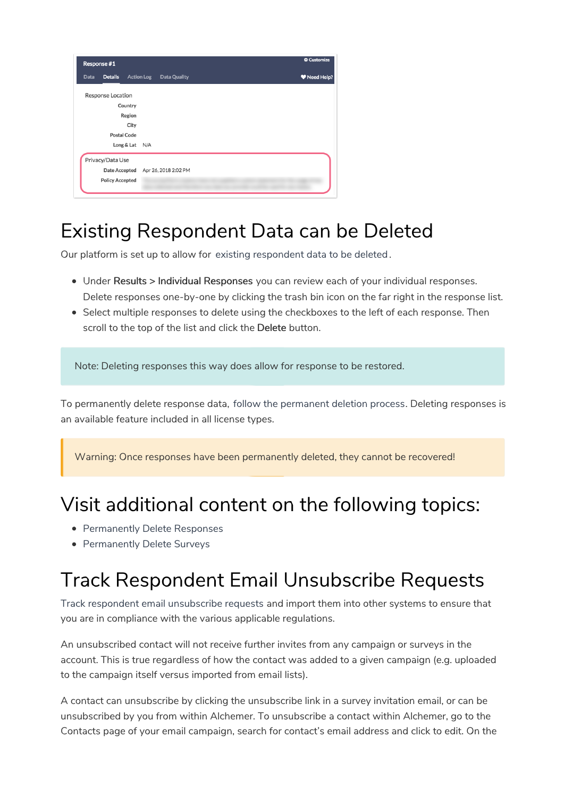| Response #1            |                            | <b>Customize</b> |
|------------------------|----------------------------|------------------|
| <b>Details</b><br>Data | Action Log<br>Data Quality | Weed Help?       |
| Response Location      |                            |                  |
| Country                |                            |                  |
| Region                 |                            |                  |
| City                   |                            |                  |
| <b>Postal Code</b>     |                            |                  |
| Long & Lat             | N/A                        |                  |
| Privacy/Data Use       |                            |                  |
| Date Accepted          | Apr 26, 2018 2:02 PM       |                  |
| <b>Policy Accepted</b> |                            |                  |

# Existing Respondent Data can be Deleted

Our platform is set up to allow for existing respondent data to be deleted.

- Under Results > Individual Responses you can review each of your individual responses. Delete responses one-by-one by clicking the trash bin icon on the far right in the response list.
- Select multiple responses to delete using the checkboxes to the left of each response. Then scroll to the top of the list and click the Delete button.

Note: Deleting responses this way does allow for response to be restored.

To permanently delete response data, follow the permanent deletion process. Deleting responses is an available feature included in all license types.

Warning: Once responses have been permanently deleted, they cannot be recovered!

### Visit additional content on the following topics:

- Permanently Delete Responses
- Permanently Delete Surveys

# Track Respondent Email Unsubscribe Requests

Track respondent email unsubscribe requests and import them into other systems to ensure that you are in compliance with the various applicable regulations.

An unsubscribed contact will not receive further invites from any campaign or surveys in the account. This is true regardless of how the contact was added to a given campaign (e.g. uploaded to the campaign itself versus imported from email lists).

A contact can unsubscribe by clicking the unsubscribe link in a survey invitation email, or can be unsubscribed by you from within Alchemer. To unsubscribe a contact within Alchemer, go to the Contacts page of your email campaign, search for contact's email address and click to edit. On the